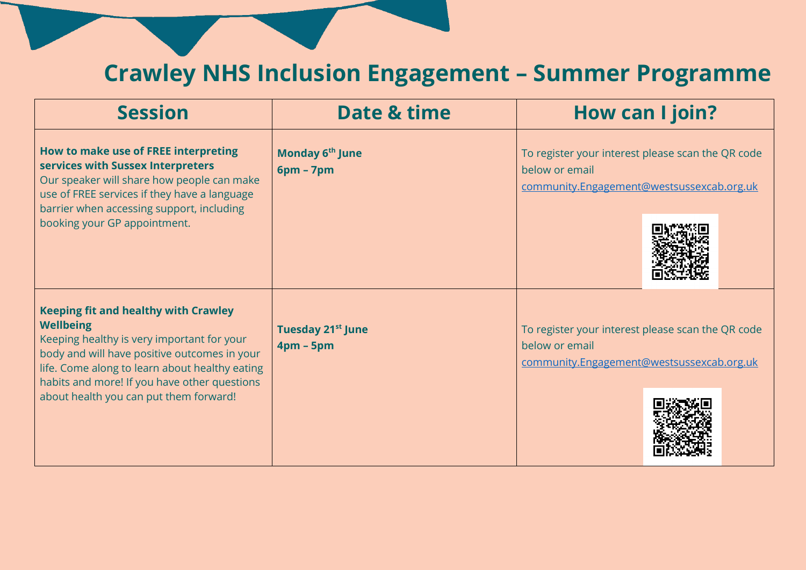## **Crawley NHS Inclusion Engagement – Summer Programme**

| <b>Session</b>                                                                                                                                                                                                                                                                                            | Date & time                                  | <b>How can I join?</b>                                                                                           |
|-----------------------------------------------------------------------------------------------------------------------------------------------------------------------------------------------------------------------------------------------------------------------------------------------------------|----------------------------------------------|------------------------------------------------------------------------------------------------------------------|
| How to make use of FREE interpreting<br>services with Sussex Interpreters<br>Our speaker will share how people can make<br>use of FREE services if they have a language<br>barrier when accessing support, including<br>booking your GP appointment.                                                      | Monday 6 <sup>th</sup> June<br>$6pm - 7pm$   | To register your interest please scan the QR code<br>below or email<br>community.Engagement@westsussexcab.org.uk |
| <b>Keeping fit and healthy with Crawley</b><br><b>Wellbeing</b><br>Keeping healthy is very important for your<br>body and will have positive outcomes in your<br>life. Come along to learn about healthy eating<br>habits and more! If you have other questions<br>about health you can put them forward! | Tuesday 21 <sup>st</sup> June<br>$4pm - 5pm$ | To register your interest please scan the QR code<br>below or email<br>community.Engagement@westsussexcab.org.uk |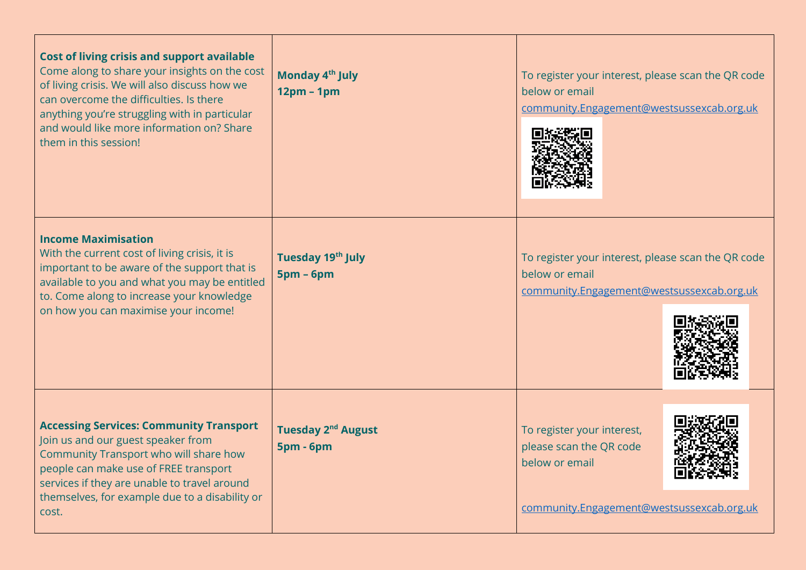| <b>Cost of living crisis and support available</b><br>Come along to share your insights on the cost<br>of living crisis. We will also discuss how we<br>can overcome the difficulties. Is there<br>anything you're struggling with in particular<br>and would like more information on? Share<br>them in this session! | Monday 4 <sup>th</sup> July<br>$12pm - 1pm$   | To register your interest, please scan the QR code<br>below or email<br>community.Engagement@westsussexcab.org.uk    |
|------------------------------------------------------------------------------------------------------------------------------------------------------------------------------------------------------------------------------------------------------------------------------------------------------------------------|-----------------------------------------------|----------------------------------------------------------------------------------------------------------------------|
| <b>Income Maximisation</b><br>With the current cost of living crisis, it is<br>important to be aware of the support that is<br>available to you and what you may be entitled<br>to. Come along to increase your knowledge<br>on how you can maximise your income!                                                      | Tuesday 19th July<br>$5pm - 6pm$              | To register your interest, please scan the QR code<br>below or email<br>community.Engagement@westsussexcab.org.uk    |
| <b>Accessing Services: Community Transport</b><br>Join us and our guest speaker from<br>Community Transport who will share how<br>people can make use of FREE transport<br>services if they are unable to travel around<br>themselves, for example due to a disability or<br>cost.                                     | Tuesday 2 <sup>nd</sup> August<br>$5pm - 6pm$ | To register your interest,<br>please scan the QR code<br>below or email<br>community.Engagement@westsussexcab.org.uk |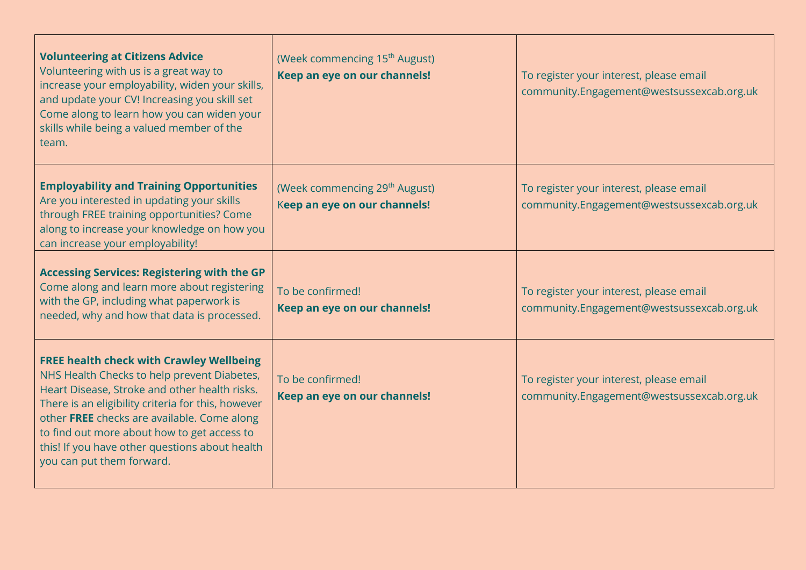| <b>Volunteering at Citizens Advice</b><br>Volunteering with us is a great way to<br>increase your employability, widen your skills,<br>and update your CV! Increasing you skill set<br>Come along to learn how you can widen your<br>skills while being a valued member of the<br>team.                                                                                            | (Week commencing 15 <sup>th</sup> August)<br>Keep an eye on our channels! | To register your interest, please email<br>community.Engagement@westsussexcab.org.uk |
|------------------------------------------------------------------------------------------------------------------------------------------------------------------------------------------------------------------------------------------------------------------------------------------------------------------------------------------------------------------------------------|---------------------------------------------------------------------------|--------------------------------------------------------------------------------------|
| <b>Employability and Training Opportunities</b><br>Are you interested in updating your skills<br>through FREE training opportunities? Come<br>along to increase your knowledge on how you<br>can increase your employability!                                                                                                                                                      | (Week commencing 29 <sup>th</sup> August)<br>Keep an eye on our channels! | To register your interest, please email<br>community.Engagement@westsussexcab.org.uk |
| <b>Accessing Services: Registering with the GP</b><br>Come along and learn more about registering<br>with the GP, including what paperwork is<br>needed, why and how that data is processed.                                                                                                                                                                                       | To be confirmed!<br>Keep an eye on our channels!                          | To register your interest, please email<br>community.Engagement@westsussexcab.org.uk |
| <b>FREE health check with Crawley Wellbeing</b><br>NHS Health Checks to help prevent Diabetes,<br>Heart Disease, Stroke and other health risks.<br>There is an eligibility criteria for this, however<br>other FREE checks are available. Come along<br>to find out more about how to get access to<br>this! If you have other questions about health<br>you can put them forward. | To be confirmed!<br>Keep an eye on our channels!                          | To register your interest, please email<br>community.Engagement@westsussexcab.org.uk |